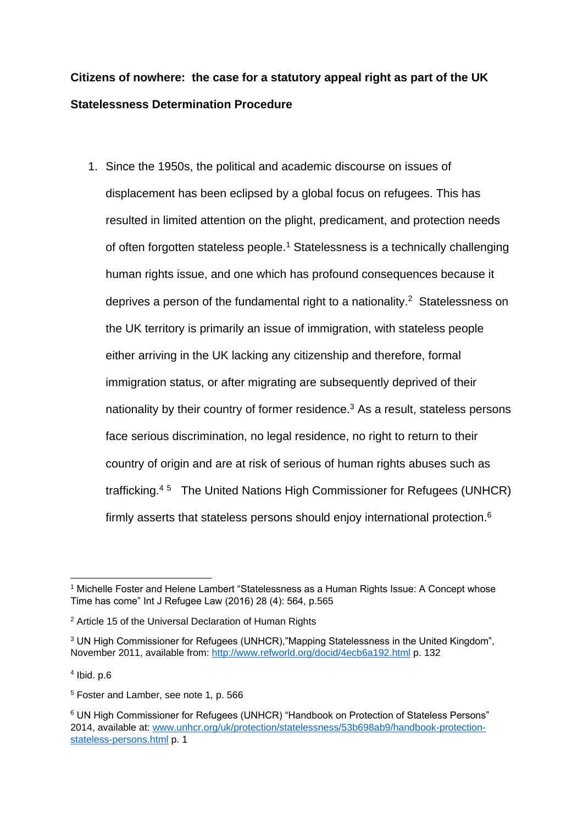# **Citizens of nowhere: the case for a statutory appeal right as part of the UK Statelessness Determination Procedure**

1. Since the 1950s, the political and academic discourse on issues of displacement has been eclipsed by a global focus on refugees. This has resulted in limited attention on the plight, predicament, and protection needs of often forgotten stateless people. <sup>1</sup> Statelessness is a technically challenging human rights issue, and one which has profound consequences because it deprives a person of the fundamental right to a nationality. $2$  Statelessness on the UK territory is primarily an issue of immigration, with stateless people either arriving in the UK lacking any citizenship and therefore, formal immigration status, or after migrating are subsequently deprived of their nationality by their country of former residence.<sup>3</sup> As a result, stateless persons face serious discrimination, no legal residence, no right to return to their country of origin and are at risk of serious of human rights abuses such as trafficking.<sup>4</sup> <sup>5</sup> The United Nations High Commissioner for Refugees (UNHCR) firmly asserts that stateless persons should enjoy international protection.<sup>6</sup>

<sup>&</sup>lt;sup>1</sup> Michelle Foster and Helene Lambert "Statelessness as a Human Rights Issue: A Concept whose Time has come" Int J Refugee Law (2016) 28 (4): 564, p.565

<sup>&</sup>lt;sup>2</sup> Article 15 of the Universal Declaration of Human Rights

<sup>&</sup>lt;sup>3</sup> UN High Commissioner for Refugees (UNHCR),"Mapping Statelessness in the United Kingdom", November 2011, available from:<http://www.refworld.org/docid/4ecb6a192.html> p. 132

 $<sup>4</sup>$  Ibid. p.6</sup>

<sup>5</sup> Foster and Lamber, see note 1*,* p. 566

<sup>6</sup> UN High Commissioner for Refugees (UNHCR) "Handbook on Protection of Stateless Persons" 2014, available at: [www.unhcr.org/uk/protection/statelessness/53b698ab9/handbook-protection](http://www.unhcr.org/uk/protection/statelessness/53b698ab9/handbook-protection-stateless-persons.html)[stateless-persons.html](http://www.unhcr.org/uk/protection/statelessness/53b698ab9/handbook-protection-stateless-persons.html) p. 1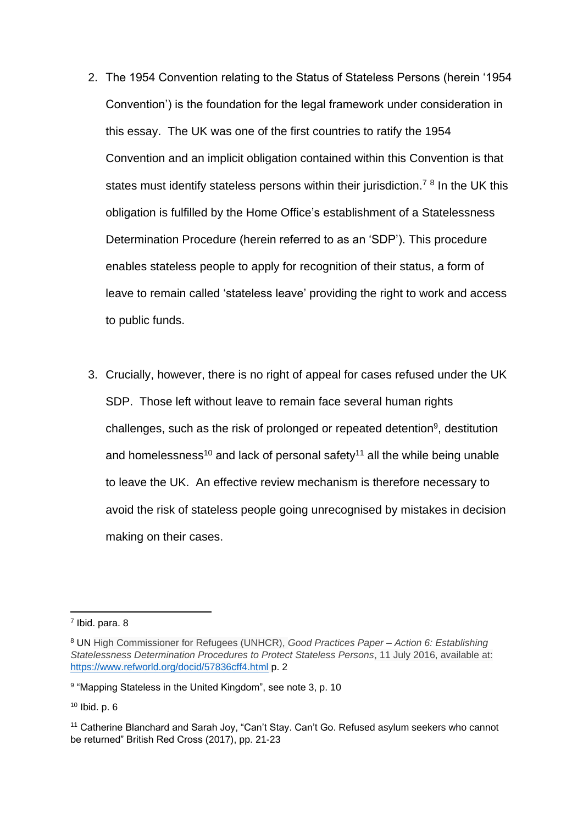- 2. The 1954 Convention relating to the Status of Stateless Persons (herein '1954 Convention') is the foundation for the legal framework under consideration in this essay. The UK was one of the first countries to ratify the 1954 Convention and an implicit obligation contained within this Convention is that states must identify stateless persons within their jurisdiction.<sup>78</sup> In the UK this obligation is fulfilled by the Home Office's establishment of a Statelessness Determination Procedure (herein referred to as an 'SDP'). This procedure enables stateless people to apply for recognition of their status, a form of leave to remain called 'stateless leave' providing the right to work and access to public funds.
- 3. Crucially, however, there is no right of appeal for cases refused under the UK SDP. Those left without leave to remain face several human rights challenges, such as the risk of prolonged or repeated detention<sup>9</sup>, destitution and homelessness<sup>10</sup> and lack of personal safety<sup>11</sup> all the while being unable to leave the UK. An effective review mechanism is therefore necessary to avoid the risk of stateless people going unrecognised by mistakes in decision making on their cases.

<sup>7</sup> Ibid. para. 8

<sup>8</sup> UN High Commissioner for Refugees (UNHCR), *Good Practices Paper – Action 6: Establishing Statelessness Determination Procedures to Protect Stateless Persons*, 11 July 2016, available at: <https://www.refworld.org/docid/57836cff4.html> p. 2

<sup>9</sup> "Mapping Stateless in the United Kingdom", see note 3, p. 10

<sup>10</sup> Ibid. p. 6

<sup>&</sup>lt;sup>11</sup> Catherine Blanchard and Sarah Joy, "Can't Stay. Can't Go. Refused asylum seekers who cannot be returned" British Red Cross (2017), pp. 21-23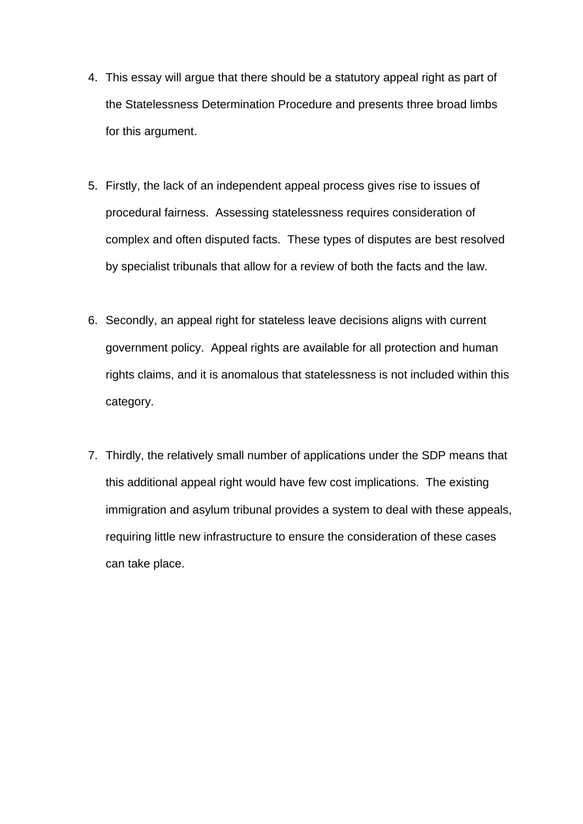- 4. This essay will argue that there should be a statutory appeal right as part of the Statelessness Determination Procedure and presents three broad limbs for this argument.
- 5. Firstly, the lack of an independent appeal process gives rise to issues of procedural fairness. Assessing statelessness requires consideration of complex and often disputed facts. These types of disputes are best resolved by specialist tribunals that allow for a review of both the facts and the law.
- 6. Secondly, an appeal right for stateless leave decisions aligns with current government policy. Appeal rights are available for all protection and human rights claims, and it is anomalous that statelessness is not included within this category.
- 7. Thirdly, the relatively small number of applications under the SDP means that this additional appeal right would have few cost implications. The existing immigration and asylum tribunal provides a system to deal with these appeals, requiring little new infrastructure to ensure the consideration of these cases can take place.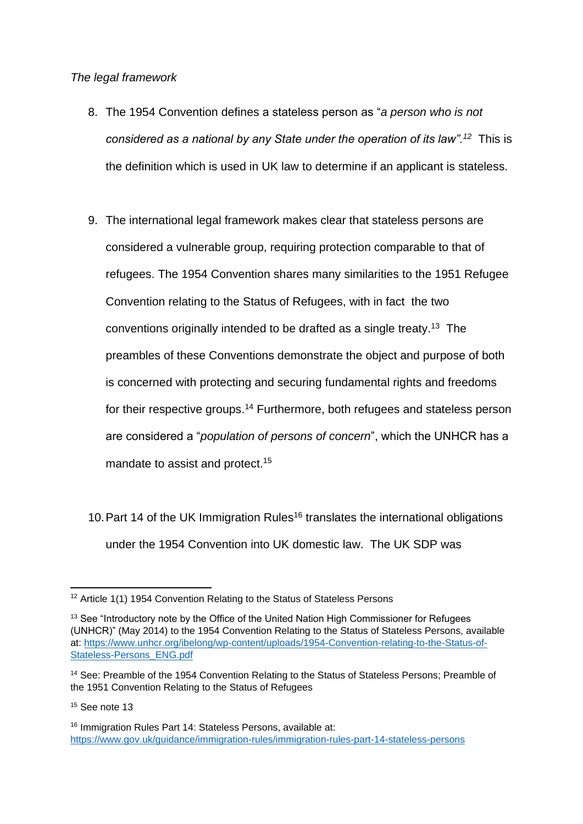## *The legal framework*

- 8. The 1954 Convention defines a stateless person as "*a person who is not considered as a national by any State under the operation of its law".<sup>12</sup>* This is the definition which is used in UK law to determine if an applicant is stateless.
- 9. The international legal framework makes clear that stateless persons are considered a vulnerable group, requiring protection comparable to that of refugees. The 1954 Convention shares many similarities to the 1951 Refugee Convention relating to the Status of Refugees, with in fact the two conventions originally intended to be drafted as a single treaty.<sup>13</sup> The preambles of these Conventions demonstrate the object and purpose of both is concerned with protecting and securing fundamental rights and freedoms for their respective groups.<sup>14</sup> Furthermore, both refugees and stateless person are considered a "*population of persons of concern*", which the UNHCR has a mandate to assist and protect. 15
- 10. Part 14 of the UK Immigration Rules<sup>16</sup> translates the international obligations under the 1954 Convention into UK domestic law. The UK SDP was

<sup>&</sup>lt;sup>12</sup> Article 1(1) 1954 Convention Relating to the Status of Stateless Persons

<sup>&</sup>lt;sup>13</sup> See "Introductory note by the Office of the United Nation High Commissioner for Refugees (UNHCR)" (May 2014) to the 1954 Convention Relating to the Status of Stateless Persons, available at: [https://www.unhcr.org/ibelong/wp-content/uploads/1954-Convention-relating-to-the-Status-of-](https://www.unhcr.org/ibelong/wp-content/uploads/1954-Convention-relating-to-the-Status-of-Stateless-Persons_ENG.pdf)[Stateless-Persons\\_ENG.pdf](https://www.unhcr.org/ibelong/wp-content/uploads/1954-Convention-relating-to-the-Status-of-Stateless-Persons_ENG.pdf)

<sup>&</sup>lt;sup>14</sup> See: Preamble of the 1954 Convention Relating to the Status of Stateless Persons; Preamble of the 1951 Convention Relating to the Status of Refugees

<sup>&</sup>lt;sup>15</sup> See note 13

<sup>&</sup>lt;sup>16</sup> Immigration Rules Part 14: Stateless Persons, available at: <https://www.gov.uk/guidance/immigration-rules/immigration-rules-part-14-stateless-persons>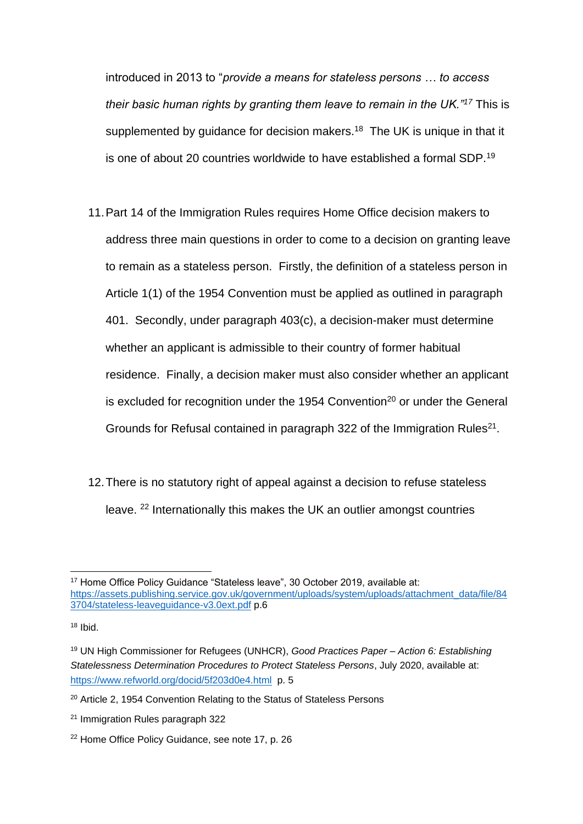introduced in 2013 to "*provide a means for stateless persons … to access their basic human rights by granting them leave to remain in the UK."<sup>17</sup>* This is supplemented by guidance for decision makers.<sup>18</sup> The UK is unique in that it is one of about 20 countries worldwide to have established a formal SDP.<sup>19</sup>

- 11.Part 14 of the Immigration Rules requires Home Office decision makers to address three main questions in order to come to a decision on granting leave to remain as a stateless person. Firstly, the definition of a stateless person in Article 1(1) of the 1954 Convention must be applied as outlined in paragraph 401. Secondly, under paragraph 403(c), a decision-maker must determine whether an applicant is admissible to their country of former habitual residence. Finally, a decision maker must also consider whether an applicant is excluded for recognition under the 1954 Convention<sup>20</sup> or under the General Grounds for Refusal contained in paragraph 322 of the Immigration Rules<sup>21</sup>.
- 12.There is no statutory right of appeal against a decision to refuse stateless leave. <sup>22</sup> Internationally this makes the UK an outlier amongst countries

<sup>&</sup>lt;sup>17</sup> Home Office Policy Guidance "Stateless leave", 30 October 2019, available at: [https://assets.publishing.service.gov.uk/government/uploads/system/uploads/attachment\\_data/file/84](https://assets.publishing.service.gov.uk/government/uploads/system/uploads/attachment_data/file/843704/stateless-leaveguidance-v3.0ext.pdf) [3704/stateless-leaveguidance-v3.0ext.pdf](https://assets.publishing.service.gov.uk/government/uploads/system/uploads/attachment_data/file/843704/stateless-leaveguidance-v3.0ext.pdf) p.6

 $18$  Ibid.

<sup>19</sup> UN High Commissioner for Refugees (UNHCR), *Good Practices Paper – Action 6: Establishing Statelessness Determination Procedures to Protect Stateless Persons*, July 2020, available at: <https://www.refworld.org/docid/5f203d0e4.html> p. 5

<sup>&</sup>lt;sup>20</sup> Article 2, 1954 Convention Relating to the Status of Stateless Persons

<sup>21</sup> Immigration Rules paragraph 322

<sup>22</sup> Home Office Policy Guidance, see note 17, p. 26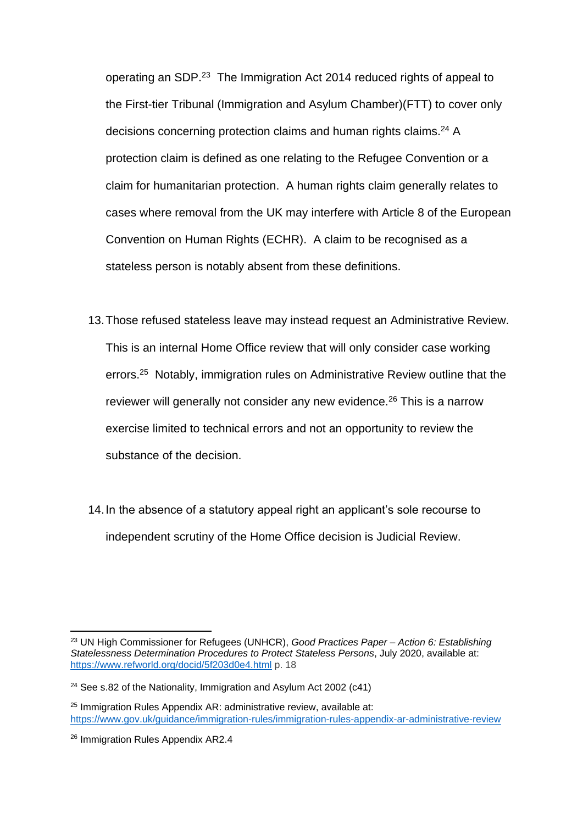operating an SDP.<sup>23</sup> The Immigration Act 2014 reduced rights of appeal to the First-tier Tribunal (Immigration and Asylum Chamber)(FTT) to cover only decisions concerning protection claims and human rights claims.<sup>24</sup> A protection claim is defined as one relating to the Refugee Convention or a claim for humanitarian protection. A human rights claim generally relates to cases where removal from the UK may interfere with Article 8 of the European Convention on Human Rights (ECHR). A claim to be recognised as a stateless person is notably absent from these definitions.

- 13.Those refused stateless leave may instead request an Administrative Review. This is an internal Home Office review that will only consider case working errors.<sup>25</sup> Notably, immigration rules on Administrative Review outline that the reviewer will generally not consider any new evidence.<sup>26</sup> This is a narrow exercise limited to technical errors and not an opportunity to review the substance of the decision.
- 14.In the absence of a statutory appeal right an applicant's sole recourse to independent scrutiny of the Home Office decision is Judicial Review.

<sup>23</sup> UN High Commissioner for Refugees (UNHCR), *Good Practices Paper – Action 6: Establishing Statelessness Determination Procedures to Protect Stateless Persons*, July 2020, available at: <https://www.refworld.org/docid/5f203d0e4.html> p. 18

<sup>&</sup>lt;sup>24</sup> See s.82 of the Nationality, Immigration and Asylum Act 2002 (c41)

<sup>&</sup>lt;sup>25</sup> Immigration Rules Appendix AR: administrative review, available at: <https://www.gov.uk/guidance/immigration-rules/immigration-rules-appendix-ar-administrative-review>

<sup>&</sup>lt;sup>26</sup> Immigration Rules Appendix AR2.4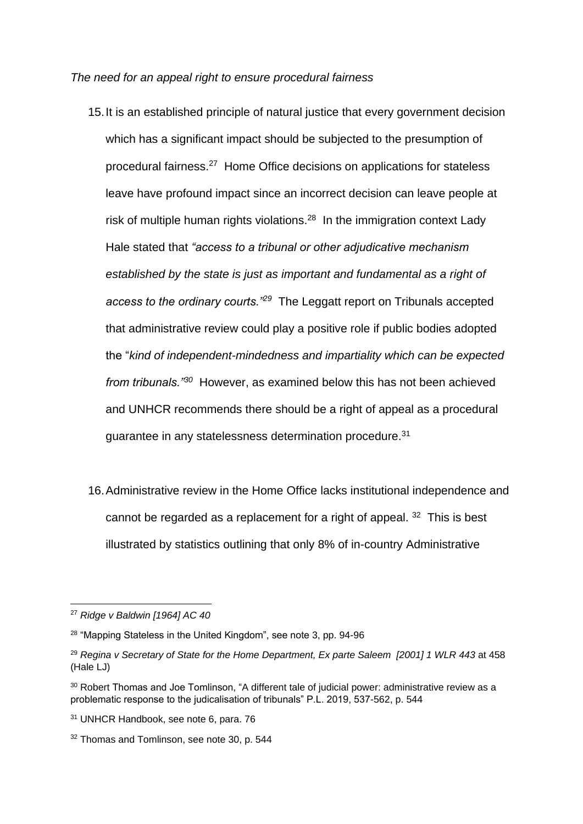*The need for an appeal right to ensure procedural fairness*

- 15.It is an established principle of natural justice that every government decision which has a significant impact should be subjected to the presumption of procedural fairness.<sup>27</sup> Home Office decisions on applications for stateless leave have profound impact since an incorrect decision can leave people at risk of multiple human rights violations.<sup>28</sup> In the immigration context Lady Hale stated that *"access to a tribunal or other adjudicative mechanism established by the state is just as important and fundamental as a right of access to the ordinary courts."<sup>29</sup>* The Leggatt report on Tribunals accepted that administrative review could play a positive role if public bodies adopted the "*kind of independent-mindedness and impartiality which can be expected from tribunals."<sup>30</sup>* However, as examined below this has not been achieved and UNHCR recommends there should be a right of appeal as a procedural guarantee in any statelessness determination procedure.<sup>31</sup>
- 16.Administrative review in the Home Office lacks institutional independence and cannot be regarded as a replacement for a right of appeal.  $32$  This is best illustrated by statistics outlining that only 8% of in-country Administrative

<sup>27</sup> *Ridge v Baldwin [1964] AC 40*

<sup>28</sup> "Mapping Stateless in the United Kingdom", see note 3, pp. 94-96

<sup>29</sup> *Regina v Secretary of State for the Home Department, Ex parte Saleem [2001] 1 WLR 443* at 458 (Hale LJ)

<sup>&</sup>lt;sup>30</sup> Robert Thomas and Joe Tomlinson, "A different tale of judicial power: administrative review as a problematic response to the judicalisation of tribunals" P.L. 2019, 537-562, p. 544

<sup>31</sup> UNHCR Handbook, see note 6, para. 76

<sup>&</sup>lt;sup>32</sup> Thomas and Tomlinson, see note 30, p. 544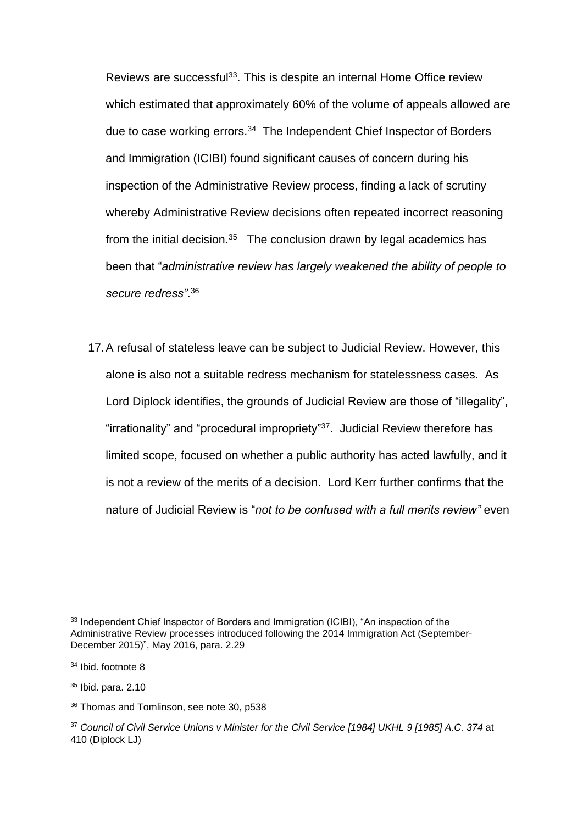Reviews are successful<sup>33</sup>. This is despite an internal Home Office review which estimated that approximately 60% of the volume of appeals allowed are due to case working errors.<sup>34</sup> The Independent Chief Inspector of Borders and Immigration (ICIBI) found significant causes of concern during his inspection of the Administrative Review process, finding a lack of scrutiny whereby Administrative Review decisions often repeated incorrect reasoning from the initial decision. $35$  The conclusion drawn by legal academics has been that "*administrative review has largely weakened the ability of people to secure redress"*. 36

17.A refusal of stateless leave can be subject to Judicial Review. However, this alone is also not a suitable redress mechanism for statelessness cases. As Lord Diplock identifies, the grounds of Judicial Review are those of "illegality", "irrationality" and "procedural impropriety"<sup>37</sup>. Judicial Review therefore has limited scope, focused on whether a public authority has acted lawfully, and it is not a review of the merits of a decision. Lord Kerr further confirms that the nature of Judicial Review is "*not to be confused with a full merits review"* even

<sup>35</sup> Ibid. para. 2.10

<sup>&</sup>lt;sup>33</sup> Independent Chief Inspector of Borders and Immigration (ICIBI), "An inspection of the Administrative Review processes introduced following the 2014 Immigration Act (September-December 2015)", May 2016, para. 2.29

<sup>34</sup> Ibid. footnote 8

<sup>36</sup> Thomas and Tomlinson, see note 30, p538

<sup>37</sup> *Council of Civil Service Unions v Minister for the Civil Service [1984] [UKHL 9](http://www.bailii.org/uk/cases/UKHL/1984/9.html) [1985] A.C. 374* at 410 (Diplock LJ)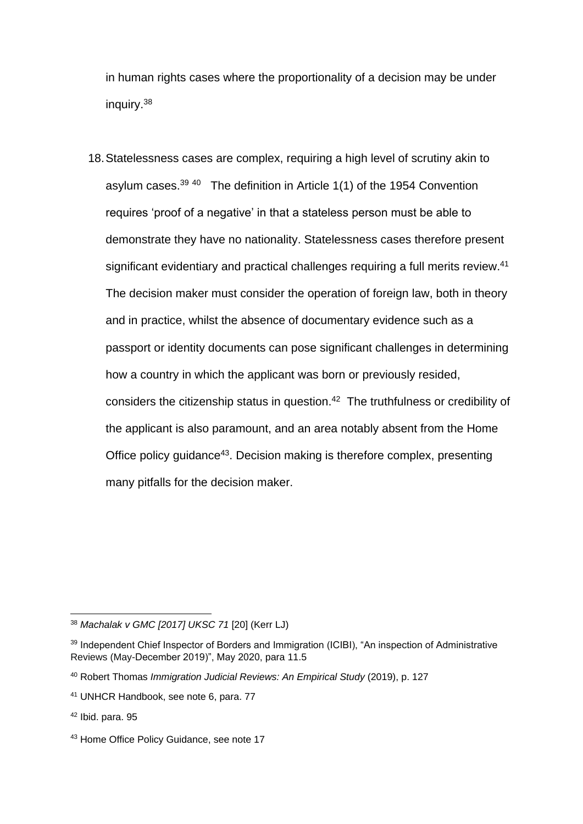in human rights cases where the proportionality of a decision may be under inquiry.<sup>38</sup>

18.Statelessness cases are complex, requiring a high level of scrutiny akin to asylum cases. $39\,40$  The definition in Article 1(1) of the 1954 Convention requires 'proof of a negative' in that a stateless person must be able to demonstrate they have no nationality. Statelessness cases therefore present significant evidentiary and practical challenges requiring a full merits review.<sup>41</sup> The decision maker must consider the operation of foreign law, both in theory and in practice, whilst the absence of documentary evidence such as a passport or identity documents can pose significant challenges in determining how a country in which the applicant was born or previously resided, considers the citizenship status in question.<sup>42</sup> The truthfulness or credibility of the applicant is also paramount, and an area notably absent from the Home Office policy guidance<sup>43</sup>. Decision making is therefore complex, presenting many pitfalls for the decision maker.

<sup>38</sup> *Machalak v GMC [2017] UKSC 71* [20] (Kerr LJ)

<sup>&</sup>lt;sup>39</sup> Independent Chief Inspector of Borders and Immigration (ICIBI), "An inspection of Administrative Reviews (May-December 2019)", May 2020, para 11.5

<sup>40</sup> Robert Thomas *Immigration Judicial Reviews: An Empirical Study* (2019), p. 127

<sup>41</sup> UNHCR Handbook, see note 6, para. 77

 $42$  Ibid. para. 95

<sup>43</sup> Home Office Policy Guidance, see note 17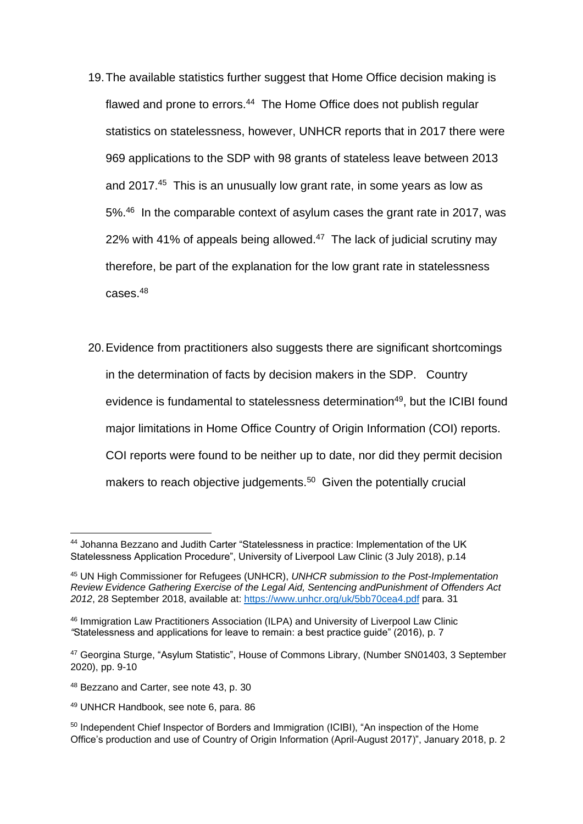- 19.The available statistics further suggest that Home Office decision making is flawed and prone to errors.<sup>44</sup> The Home Office does not publish regular statistics on statelessness, however, UNHCR reports that in 2017 there were 969 applications to the SDP with 98 grants of stateless leave between 2013 and 2017.<sup>45</sup> This is an unusually low grant rate, in some years as low as 5%.<sup>46</sup> In the comparable context of asylum cases the grant rate in 2017, was 22% with 41% of appeals being allowed. $47$  The lack of judicial scrutiny may therefore, be part of the explanation for the low grant rate in statelessness cases.<sup>48</sup>
- 20.Evidence from practitioners also suggests there are significant shortcomings in the determination of facts by decision makers in the SDP. Country evidence is fundamental to statelessness determination<sup>49</sup>, but the ICIBI found major limitations in Home Office Country of Origin Information (COI) reports. COI reports were found to be neither up to date, nor did they permit decision makers to reach objective judgements.<sup>50</sup> Given the potentially crucial

<sup>49</sup> UNHCR Handbook, see note 6, para. 86

<sup>44</sup> Johanna Bezzano and Judith Carter "Statelessness in practice: Implementation of the UK Statelessness Application Procedure", University of Liverpool Law Clinic (3 July 2018), p.14

<sup>45</sup> UN High Commissioner for Refugees (UNHCR), *UNHCR submission to the Post-Implementation Review Evidence Gathering Exercise of the Legal Aid, Sentencing andPunishment of Offenders Act 2012*, 28 September 2018, available at:<https://www.unhcr.org/uk/5bb70cea4.pdf> para. 31

<sup>46</sup> Immigration Law Practitioners Association (ILPA) and University of Liverpool Law Clinic *"*Statelessness and applications for leave to remain: a best practice guide" (2016), p. 7

<sup>47</sup> Georgina Sturge, "Asylum Statistic", House of Commons Library, (Number SN01403, 3 September 2020), pp. 9-10

<sup>48</sup> Bezzano and Carter, see note 43, p. 30

<sup>&</sup>lt;sup>50</sup> Independent Chief Inspector of Borders and Immigration (ICIBI), "An inspection of the Home Office's production and use of Country of Origin Information (April-August 2017)", January 2018, p. 2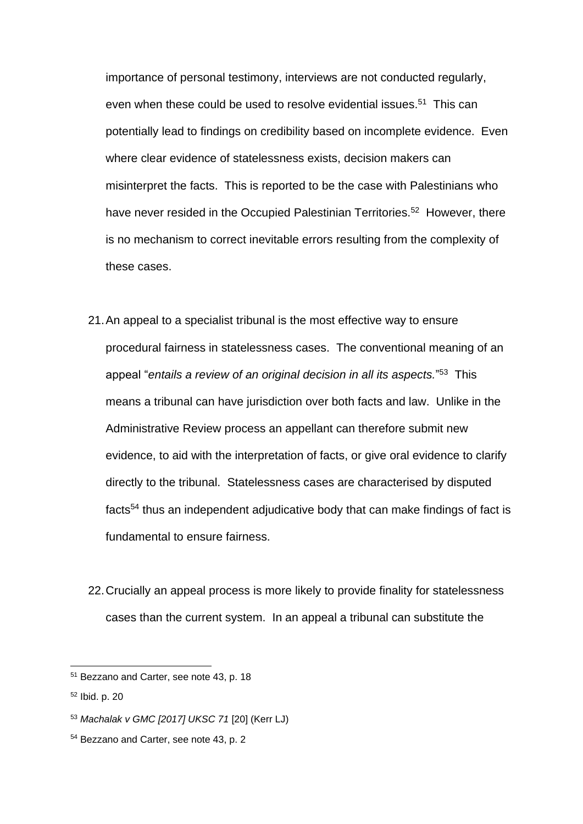importance of personal testimony, interviews are not conducted regularly, even when these could be used to resolve evidential issues.<sup>51</sup> This can potentially lead to findings on credibility based on incomplete evidence. Even where clear evidence of statelessness exists, decision makers can misinterpret the facts. This is reported to be the case with Palestinians who have never resided in the Occupied Palestinian Territories.<sup>52</sup> However, there is no mechanism to correct inevitable errors resulting from the complexity of these cases.

- 21.An appeal to a specialist tribunal is the most effective way to ensure procedural fairness in statelessness cases. The conventional meaning of an appeal "*entails a review of an original decision in all its aspects.*" 53 This means a tribunal can have jurisdiction over both facts and law. Unlike in the Administrative Review process an appellant can therefore submit new evidence, to aid with the interpretation of facts, or give oral evidence to clarify directly to the tribunal. Statelessness cases are characterised by disputed facts<sup>54</sup> thus an independent adjudicative body that can make findings of fact is fundamental to ensure fairness.
- 22.Crucially an appeal process is more likely to provide finality for statelessness cases than the current system. In an appeal a tribunal can substitute the

<sup>51</sup> Bezzano and Carter, see note 43, p. 18

<sup>52</sup> Ibid. p. 20

<sup>53</sup> *Machalak v GMC [2017] UKSC 71* [20] (Kerr LJ)

<sup>54</sup> Bezzano and Carter, see note 43, p. 2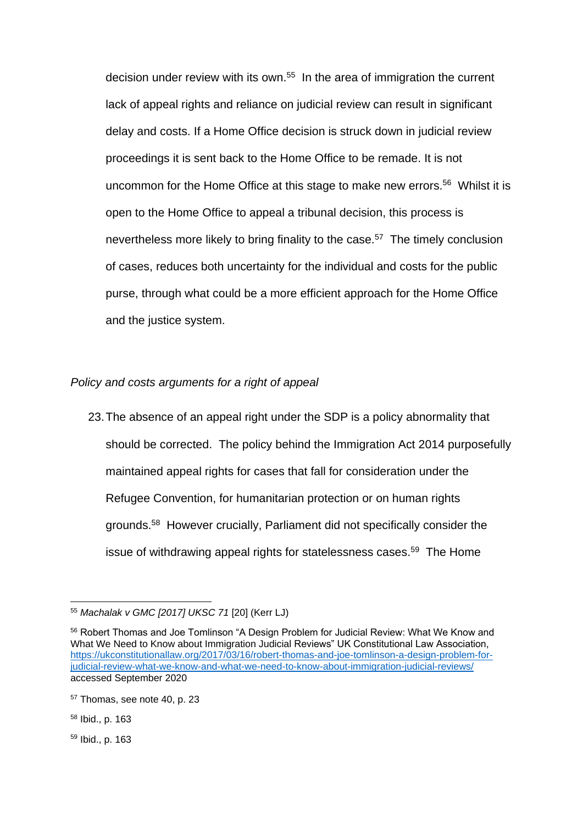decision under review with its own.<sup>55</sup> In the area of immigration the current lack of appeal rights and reliance on judicial review can result in significant delay and costs. If a Home Office decision is struck down in judicial review proceedings it is sent back to the Home Office to be remade. It is not uncommon for the Home Office at this stage to make new errors.<sup>56</sup> Whilst it is open to the Home Office to appeal a tribunal decision, this process is nevertheless more likely to bring finality to the case.<sup>57</sup> The timely conclusion of cases, reduces both uncertainty for the individual and costs for the public purse, through what could be a more efficient approach for the Home Office and the justice system.

### *Policy and costs arguments for a right of appeal*

23.The absence of an appeal right under the SDP is a policy abnormality that should be corrected. The policy behind the Immigration Act 2014 purposefully maintained appeal rights for cases that fall for consideration under the Refugee Convention, for humanitarian protection or on human rights grounds.<sup>58</sup> However crucially, Parliament did not specifically consider the issue of withdrawing appeal rights for statelessness cases.<sup>59</sup> The Home

<sup>55</sup> *Machalak v GMC [2017] UKSC 71* [20] (Kerr LJ)

<sup>56</sup> Robert Thomas and Joe Tomlinson "A Design Problem for Judicial Review: What We Know and What We Need to Know about Immigration Judicial Reviews" UK Constitutional Law Association, [https://ukconstitutionallaw.org/2017/03/16/robert-thomas-and-joe-tomlinson-a-design-problem-for](https://ukconstitutionallaw.org/2017/03/16/robert-thomas-and-joe-tomlinson-a-design-problem-for-judicial-review-what-we-know-and-what-we-need-to-know-about-immigration-judicial-reviews/)[judicial-review-what-we-know-and-what-we-need-to-know-about-immigration-judicial-reviews/](https://ukconstitutionallaw.org/2017/03/16/robert-thomas-and-joe-tomlinson-a-design-problem-for-judicial-review-what-we-know-and-what-we-need-to-know-about-immigration-judicial-reviews/) accessed September 2020

<sup>57</sup> Thomas, see note 40, p. 23

<sup>58</sup> Ibid., p. 163

<sup>59</sup> Ibid., p. 163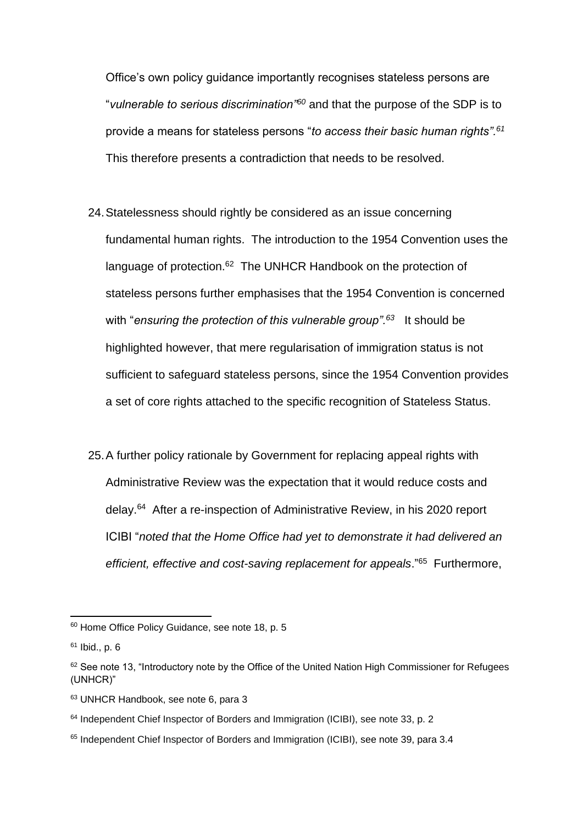Office's own policy guidance importantly recognises stateless persons are "*vulnerable to serious discrimination"<sup>60</sup>* and that the purpose of the SDP is to provide a means for stateless persons "*to access their basic human rights".<sup>61</sup>* This therefore presents a contradiction that needs to be resolved.

- 24.Statelessness should rightly be considered as an issue concerning fundamental human rights. The introduction to the 1954 Convention uses the language of protection.<sup>62</sup> The UNHCR Handbook on the protection of stateless persons further emphasises that the 1954 Convention is concerned with "*ensuring the protection of this vulnerable group".<sup>63</sup>* It should be highlighted however, that mere regularisation of immigration status is not sufficient to safeguard stateless persons, since the 1954 Convention provides a set of core rights attached to the specific recognition of Stateless Status.
- 25.A further policy rationale by Government for replacing appeal rights with Administrative Review was the expectation that it would reduce costs and delay.<sup>64</sup> After a re-inspection of Administrative Review, in his 2020 report ICIBI "*noted that the Home Office had yet to demonstrate it had delivered an efficient, effective and cost-saving replacement for appeals*."<sup>65</sup> Furthermore,

<sup>60</sup> Home Office Policy Guidance, see note 18, p. 5

 $61$  Ibid., p. 6

 $62$  See note 13, "Introductory note by the Office of the United Nation High Commissioner for Refugees (UNHCR)"

<sup>63</sup> UNHCR Handbook, see note 6, para 3

<sup>64</sup> Independent Chief Inspector of Borders and Immigration (ICIBI), see note 33, p. 2

<sup>&</sup>lt;sup>65</sup> Independent Chief Inspector of Borders and Immigration (ICIBI), see note 39, para 3.4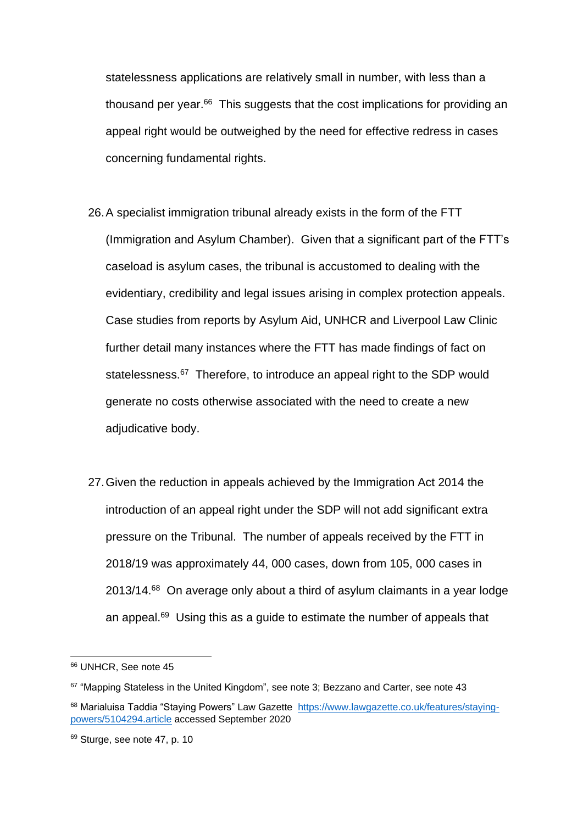statelessness applications are relatively small in number, with less than a thousand per year.<sup>66</sup> This suggests that the cost implications for providing an appeal right would be outweighed by the need for effective redress in cases concerning fundamental rights.

- 26.A specialist immigration tribunal already exists in the form of the FTT (Immigration and Asylum Chamber). Given that a significant part of the FTT's caseload is asylum cases, the tribunal is accustomed to dealing with the evidentiary, credibility and legal issues arising in complex protection appeals. Case studies from reports by Asylum Aid, UNHCR and Liverpool Law Clinic further detail many instances where the FTT has made findings of fact on statelessness.<sup>67</sup> Therefore, to introduce an appeal right to the SDP would generate no costs otherwise associated with the need to create a new adjudicative body.
- 27.Given the reduction in appeals achieved by the Immigration Act 2014 the introduction of an appeal right under the SDP will not add significant extra pressure on the Tribunal. The number of appeals received by the FTT in 2018/19 was approximately 44, 000 cases, down from 105, 000 cases in 2013/14.<sup>68</sup> On average only about a third of asylum claimants in a year lodge an appeal.<sup>69</sup> Using this as a guide to estimate the number of appeals that

<sup>66</sup> UNHCR, See note 45

 $67$  "Mapping Stateless in the United Kingdom", see note 3; Bezzano and Carter, see note 43

<sup>68</sup> Marialuisa Taddia "Staying Powers" Law Gazette [https://www.lawgazette.co.uk/features/staying](https://www.lawgazette.co.uk/features/staying-powers/5104294.article)[powers/5104294.article](https://www.lawgazette.co.uk/features/staying-powers/5104294.article) accessed September 2020

 $69$  Sturge, see note 47, p. 10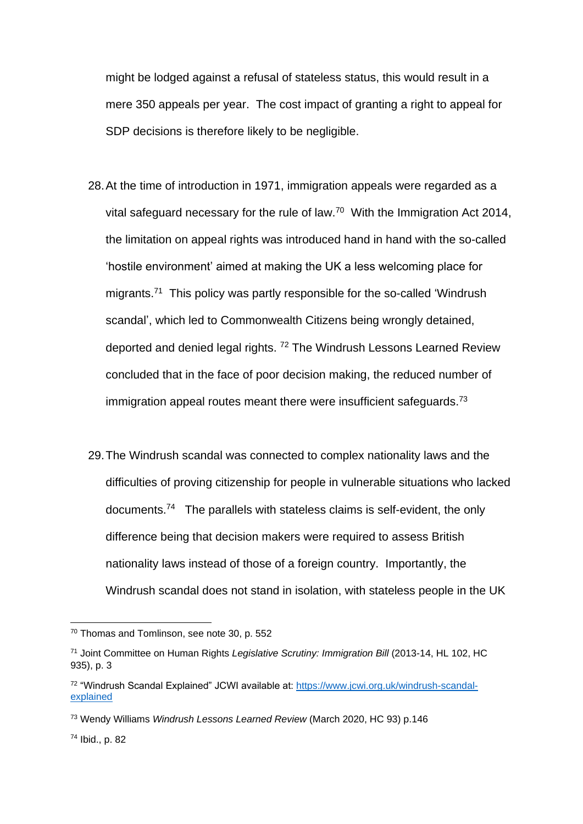might be lodged against a refusal of stateless status, this would result in a mere 350 appeals per year. The cost impact of granting a right to appeal for SDP decisions is therefore likely to be negligible.

- 28.At the time of introduction in 1971, immigration appeals were regarded as a vital safeguard necessary for the rule of law.<sup>70</sup> With the Immigration Act 2014, the limitation on appeal rights was introduced hand in hand with the so-called 'hostile environment' aimed at making the UK a less welcoming place for migrants.<sup>71</sup> This policy was partly responsible for the so-called 'Windrush scandal', which led to Commonwealth Citizens being wrongly detained, deported and denied legal rights. <sup>72</sup> The Windrush Lessons Learned Review concluded that in the face of poor decision making, the reduced number of immigration appeal routes meant there were insufficient safeguards.<sup>73</sup>
- 29.The Windrush scandal was connected to complex nationality laws and the difficulties of proving citizenship for people in vulnerable situations who lacked documents.<sup>74</sup> The parallels with stateless claims is self-evident, the only difference being that decision makers were required to assess British nationality laws instead of those of a foreign country. Importantly, the Windrush scandal does not stand in isolation, with stateless people in the UK

<sup>70</sup> Thomas and Tomlinson, see note 30, p. 552

<sup>71</sup> Joint Committee on Human Rights *Legislative Scrutiny: Immigration Bill* (2013-14, HL 102, HC 935), p. 3

<sup>72</sup> "Windrush Scandal Explained" JCWI available at: [https://www.jcwi.org.uk/windrush-scandal](https://www.jcwi.org.uk/windrush-scandal-explained)[explained](https://www.jcwi.org.uk/windrush-scandal-explained)

<sup>73</sup> Wendy Williams *Windrush Lessons Learned Review* (March 2020, HC 93) p.146

<sup>74</sup> Ibid., p. 82